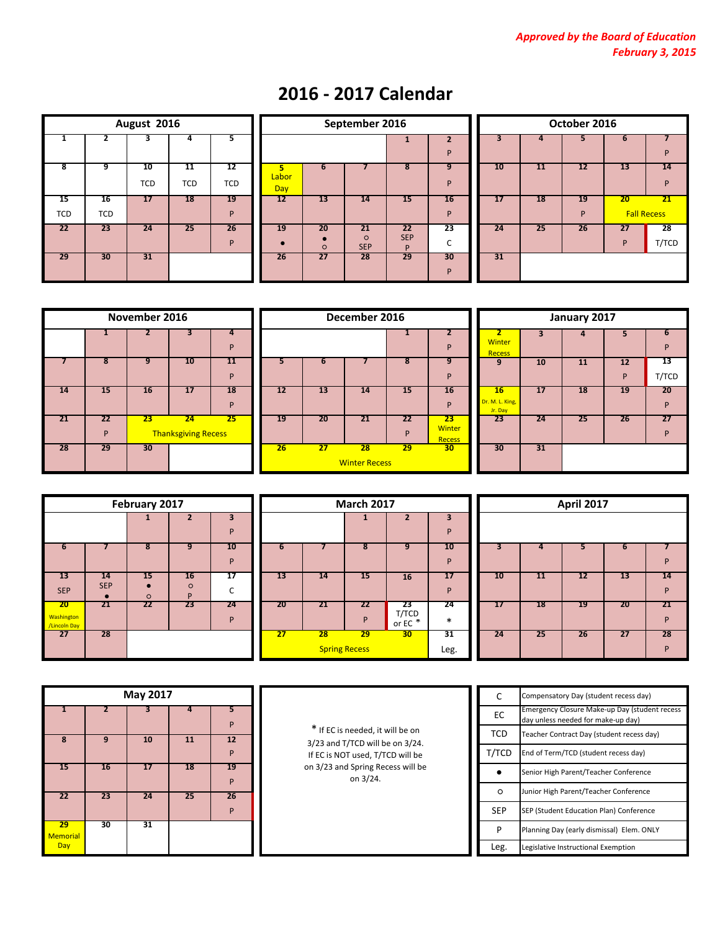| August 2016 |            |                 |            |            |  |  |  |  |
|-------------|------------|-----------------|------------|------------|--|--|--|--|
| 1           | 2          | 3               | 4          | 5          |  |  |  |  |
| 8           | 9          | 10              | 11         | 12         |  |  |  |  |
|             |            | <b>TCD</b>      | <b>TCD</b> | <b>TCD</b> |  |  |  |  |
| 15          | 16         | $\overline{17}$ | 18         | 19         |  |  |  |  |
| <b>TCD</b>  | <b>TCD</b> |                 |            | P          |  |  |  |  |
| 22          | 23         | 24              | 25         | 26         |  |  |  |  |
|             |            |                 |            | P          |  |  |  |  |
| 29          | 30         | 31              |            |            |  |  |  |  |

|           |           | August 2016      |                  |                  |              |               | September 2016              |                              | October 2016                 |    |    |         |         |                                       |
|-----------|-----------|------------------|------------------|------------------|--------------|---------------|-----------------------------|------------------------------|------------------------------|----|----|---------|---------|---------------------------------------|
| 1         |           |                  |                  | $\mathbf{z}$     |              |               |                             | 1                            | $\overline{\mathbf{z}}$<br>P | 3  |    |         |         | P                                     |
| 8         | 9         | 10<br><b>TCD</b> | 11<br><b>TCD</b> | 12<br><b>TCD</b> | Labor<br>Day |               |                             | 8                            | 9<br>P                       | 10 | 11 | 12      | 13      | 14<br>P                               |
| 15<br>CD. | 16<br>TCD | 17               | <b>18</b>        | <b>19</b><br>D   | 12           | 13            | 14                          | 15                           | 16<br>P                      | 17 | 18 | 19<br>D | 20      | $\overline{21}$<br><b>Fall Recess</b> |
| 22        | 23        | 24               | 25               | 26<br>D          | 19           | 20<br>$\circ$ | 21<br>$\circ$<br><b>SEP</b> | 22<br><b>SEP</b><br><b>D</b> | 23<br>r<br>J                 | 24 | 25 | 26      | 27<br>D | 28<br>T/TC                            |
| 29        | 30        | 31               |                  |                  | 26           | 27            | 28                          | 29                           | 30<br>P                      | 31 |    |         |         |                                       |

|                |    | October 2016 |    |                    |       |  |  |  |  |  |  |  |
|----------------|----|--------------|----|--------------------|-------|--|--|--|--|--|--|--|
| $\overline{2}$ | 3  | 4            | 5  | 6                  | 7     |  |  |  |  |  |  |  |
| P              |    |              |    |                    | P     |  |  |  |  |  |  |  |
| 9              | 10 | 11           | 12 | 14<br>13           |       |  |  |  |  |  |  |  |
| P              |    |              |    |                    | P     |  |  |  |  |  |  |  |
| 16             | 17 | 18           | 19 | 20                 | 21    |  |  |  |  |  |  |  |
| P              |    |              | P  | <b>Fall Recess</b> |       |  |  |  |  |  |  |  |
| 23             | 24 | 25           | 26 | 27                 | 28    |  |  |  |  |  |  |  |
| С              |    |              |    | P                  | T/TCD |  |  |  |  |  |  |  |
| 30             | 31 |              |    |                    |       |  |  |  |  |  |  |  |
| P              |    |              |    |                    |       |  |  |  |  |  |  |  |

|    |    | November 2016 |                            |    |    |    | December 2016        |  |
|----|----|---------------|----------------------------|----|----|----|----------------------|--|
|    |    |               | 3                          | 4  |    |    |                      |  |
|    |    |               |                            | P  |    |    |                      |  |
|    | 8  | 9             | 10                         | 11 | 5  |    |                      |  |
|    |    |               |                            | P  |    |    |                      |  |
| 14 | 15 | 16            | 17                         | 18 | 12 | 13 | 14                   |  |
|    |    |               |                            | P  |    |    |                      |  |
| 21 | 22 | 23            | 24                         | 25 | 19 | 20 | 21                   |  |
|    | P  |               | <b>Thanksgiving Recess</b> |    |    |    |                      |  |
| 28 | 29 | 30            |                            |    | 26 | 27 | 28                   |  |
|    |    |               |                            |    |    |    | <b>Winter Recess</b> |  |

|    |         | November 2016 |                                  |         | December 2016 |    |                            |         |                                      | January 2017                     |           |    |         |             |
|----|---------|---------------|----------------------------------|---------|---------------|----|----------------------------|---------|--------------------------------------|----------------------------------|-----------|----|---------|-------------|
|    |         |               |                                  | 4<br>D  |               |    |                            |         | P                                    | Winter<br><b>Recess</b>          |           | 4  |         | ь<br>P      |
|    | 8       | 9             | 10                               | 11<br>D |               | о  |                            | 8       | 9<br>P                               | 9                                | 10        | 11 | 12<br>P | -13<br>T/TC |
| 14 | 15      | 16            | 17                               | 18<br>D | 12            | 13 | 14                         | 15      | 16<br>P                              | 16<br>Dr. M. L. King,<br>Jr. Day | <b>17</b> | 18 | 19      | 20<br>P     |
| 21 | 22<br>P | 23            | 24<br><b>Thanksgiving Recess</b> | 25      | 19            | 20 | 21                         | 22<br>P | 23<br><b>Winter</b><br><b>Recess</b> | 23                               | 24        | 25 | 26      | 27<br>P     |
| 28 | 29      | 30            |                                  |         | 26            | 27 | 28<br><b>Winter Recess</b> | 29      | 30 <sub>1</sub>                      | 30                               | 31        |    |         |             |

|                           |                                 | January 2017            |                |         |             |  |  |  |  |
|---------------------------|---------------------------------|-------------------------|----------------|---------|-------------|--|--|--|--|
| 2<br>P                    | $\overline{2}$<br><b>Winter</b> | $\overline{\mathbf{3}}$ | $\overline{4}$ | 5       | 6<br>P      |  |  |  |  |
| 9                         | <b>Recess</b><br>9              | 10                      | 11             | 12      | 13          |  |  |  |  |
| P<br>I6                   | 16                              | 17                      | 18             | P<br>19 | T/TCD<br>20 |  |  |  |  |
| P                         | Dr. M. L. King,<br>Jr. Day      |                         |                |         | P           |  |  |  |  |
| 23<br>nter<br><b>cess</b> | 23                              | 24                      | 25             | 26      | 27<br>P     |  |  |  |  |
| 80                        | 30                              | 31                      |                |         |             |  |  |  |  |

|                    | February 2017 |         |                |    |  |  |  |  |
|--------------------|---------------|---------|----------------|----|--|--|--|--|
|                    |               | 1       | $\overline{2}$ | 3  |  |  |  |  |
|                    |               |         |                | P  |  |  |  |  |
| 6                  |               | 8       | 9              | 10 |  |  |  |  |
|                    |               |         |                | P  |  |  |  |  |
| 13                 | 14            | 15      | 16             | 17 |  |  |  |  |
| <b>SEP</b>         | <b>SEP</b>    | $\circ$ | $\circ$<br>P   | C  |  |  |  |  |
| 20                 | 21            | 22      | 23             | 24 |  |  |  |  |
| Washington         |               |         |                | P  |  |  |  |  |
| /Lincoln Day<br>27 | 28            |         |                |    |  |  |  |  |
|                    |               |         |                |    |  |  |  |  |
|                    |               |         |                |    |  |  |  |  |

|                                  | February 2017         |               |                     |         |    | <b>March 2017</b> |                            | April 2017             |              |    |    |           |    |         |
|----------------------------------|-----------------------|---------------|---------------------|---------|----|-------------------|----------------------------|------------------------|--------------|----|----|-----------|----|---------|
|                                  |                       |               |                     | D       |    |                   |                            |                        | 3<br>P       |    |    |           |    |         |
| 6                                |                       | 8             | 9                   | 10<br>D | ь  |                   | 8                          | 9                      | 10<br>P      |    |    |           |    | P       |
| 13<br><b>SEP</b>                 | 14<br><b>SEP</b><br>÷ | 15<br>$\circ$ | 16<br>$\Omega$<br>D | 17      | 13 | 14                | 15                         | 16                     | 17<br>P      | 10 | 11 | 12        | 13 | 14<br>P |
| 20<br><b>hington</b><br>coln Day | -21                   | 22            | 23                  | 24<br>D | 20 | 21                | 22<br><b>P</b>             | 23<br>T/TCD<br>or EC * | 24<br>$\ast$ | 17 | 18 | <b>19</b> | 20 | 21<br>P |
| 27                               | 28                    |               |                     |         | 27 | 28                | 29<br><b>Spring Recess</b> | 30                     | 31<br>Leg.   | 24 | 25 | -26       | 27 | 28<br>P |

|    | <b>April 2017</b> |    |    |    |  |  |  |  |  |
|----|-------------------|----|----|----|--|--|--|--|--|
|    |                   |    |    |    |  |  |  |  |  |
|    |                   |    |    |    |  |  |  |  |  |
| 3  | 4                 | 5  | 6  |    |  |  |  |  |  |
|    |                   |    |    | P  |  |  |  |  |  |
| 10 | 11                | 12 | 13 | 14 |  |  |  |  |  |
|    |                   |    |    | P  |  |  |  |  |  |
| 17 | 18                | 19 | 20 | 21 |  |  |  |  |  |
|    |                   |    |    | P  |  |  |  |  |  |
| 24 | 25                | 26 | 27 | 28 |  |  |  |  |  |
|    |                   |    |    | P  |  |  |  |  |  |

|                |    | May 2017 |    |         |
|----------------|----|----------|----|---------|
|                |    |          |    | 5<br>P  |
| 8              | 9  | 10       | 11 | 12      |
|                |    |          |    | P       |
| 15             | 16 | 17       | 18 | 19      |
| 22             | 23 | 24       | 25 | P<br>26 |
|                |    |          |    | P       |
| 29<br>Memorial | 30 | 31       |    |         |
| Day            |    |          |    |         |

| C          | Compensatory Day (student recess day)                                               |
|------------|-------------------------------------------------------------------------------------|
| EC         | Emergency Closure Make-up Day (student recess<br>day unless needed for make-up day) |
| <b>TCD</b> | Teacher Contract Day (student recess day)                                           |
| T/TCD      | End of Term/TCD (student recess day)                                                |
|            | Senior High Parent/Teacher Conference                                               |
| $\circ$    | Junior High Parent/Teacher Conference                                               |
| <b>SEP</b> | SEP (Student Education Plan) Conference                                             |
| P          | Planning Day (early dismissal) Elem. ONLY                                           |
| Leg.       | Legislative Instructional Exemption                                                 |